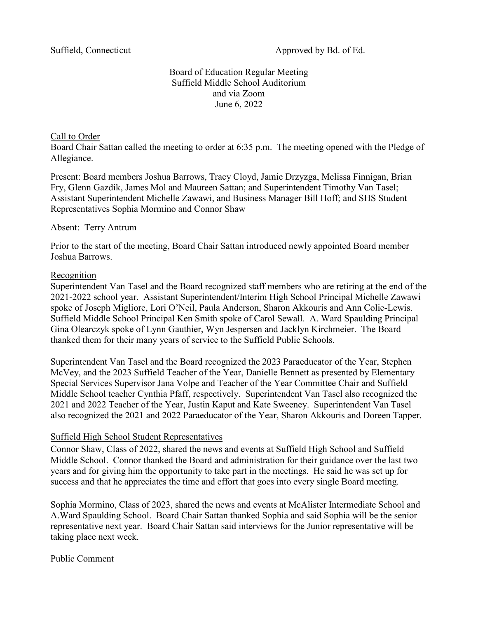Suffield, Connecticut Approved by Bd. of Ed.

# Board of Education Regular Meeting Suffield Middle School Auditorium and via Zoom June 6, 2022

#### Call to Order

Board Chair Sattan called the meeting to order at 6:35 p.m. The meeting opened with the Pledge of Allegiance.

Present: Board members Joshua Barrows, Tracy Cloyd, Jamie Drzyzga, Melissa Finnigan, Brian Fry, Glenn Gazdik, James Mol and Maureen Sattan; and Superintendent Timothy Van Tasel; Assistant Superintendent Michelle Zawawi, and Business Manager Bill Hoff; and SHS Student Representatives Sophia Mormino and Connor Shaw

#### Absent: Terry Antrum

Prior to the start of the meeting, Board Chair Sattan introduced newly appointed Board member Joshua Barrows.

#### Recognition

Superintendent Van Tasel and the Board recognized staff members who are retiring at the end of the 2021-2022 school year. Assistant Superintendent/Interim High School Principal Michelle Zawawi spoke of Joseph Migliore, Lori O'Neil, Paula Anderson, Sharon Akkouris and Ann Colie-Lewis. Suffield Middle School Principal Ken Smith spoke of Carol Sewall. A. Ward Spaulding Principal Gina Olearczyk spoke of Lynn Gauthier, Wyn Jespersen and Jacklyn Kirchmeier. The Board thanked them for their many years of service to the Suffield Public Schools.

Superintendent Van Tasel and the Board recognized the 2023 Paraeducator of the Year, Stephen McVey, and the 2023 Suffield Teacher of the Year, Danielle Bennett as presented by Elementary Special Services Supervisor Jana Volpe and Teacher of the Year Committee Chair and Suffield Middle School teacher Cynthia Pfaff, respectively. Superintendent Van Tasel also recognized the 2021 and 2022 Teacher of the Year, Justin Kaput and Kate Sweeney. Superintendent Van Tasel also recognized the 2021 and 2022 Paraeducator of the Year, Sharon Akkouris and Doreen Tapper.

### Suffield High School Student Representatives

Connor Shaw, Class of 2022, shared the news and events at Suffield High School and Suffield Middle School. Connor thanked the Board and administration for their guidance over the last two years and for giving him the opportunity to take part in the meetings. He said he was set up for success and that he appreciates the time and effort that goes into every single Board meeting.

Sophia Mormino, Class of 2023, shared the news and events at McAlister Intermediate School and A.Ward Spaulding School. Board Chair Sattan thanked Sophia and said Sophia will be the senior representative next year. Board Chair Sattan said interviews for the Junior representative will be taking place next week.

### Public Comment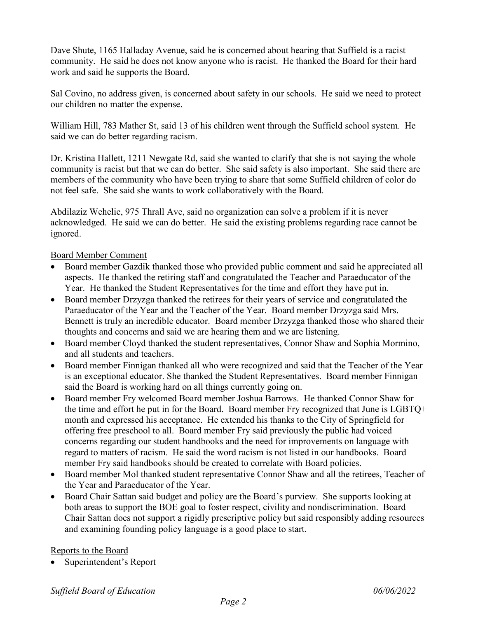Dave Shute, 1165 Halladay Avenue, said he is concerned about hearing that Suffield is a racist community. He said he does not know anyone who is racist. He thanked the Board for their hard work and said he supports the Board.

Sal Covino, no address given, is concerned about safety in our schools. He said we need to protect our children no matter the expense.

William Hill, 783 Mather St, said 13 of his children went through the Suffield school system. He said we can do better regarding racism.

Dr. Kristina Hallett, 1211 Newgate Rd, said she wanted to clarify that she is not saying the whole community is racist but that we can do better. She said safety is also important. She said there are members of the community who have been trying to share that some Suffield children of color do not feel safe. She said she wants to work collaboratively with the Board.

Abdilaziz Wehelie, 975 Thrall Ave, said no organization can solve a problem if it is never acknowledged. He said we can do better. He said the existing problems regarding race cannot be ignored.

### Board Member Comment

- Board member Gazdik thanked those who provided public comment and said he appreciated all aspects. He thanked the retiring staff and congratulated the Teacher and Paraeducator of the Year. He thanked the Student Representatives for the time and effort they have put in.
- Board member Drzyzga thanked the retirees for their years of service and congratulated the Paraeducator of the Year and the Teacher of the Year. Board member Drzyzga said Mrs. Bennett is truly an incredible educator. Board member Drzyzga thanked those who shared their thoughts and concerns and said we are hearing them and we are listening.
- Board member Cloyd thanked the student representatives, Connor Shaw and Sophia Mormino, and all students and teachers.
- Board member Finnigan thanked all who were recognized and said that the Teacher of the Year is an exceptional educator. She thanked the Student Representatives. Board member Finnigan said the Board is working hard on all things currently going on.
- Board member Fry welcomed Board member Joshua Barrows. He thanked Connor Shaw for the time and effort he put in for the Board. Board member Fry recognized that June is LGBTQ+ month and expressed his acceptance. He extended his thanks to the City of Springfield for offering free preschool to all. Board member Fry said previously the public had voiced concerns regarding our student handbooks and the need for improvements on language with regard to matters of racism. He said the word racism is not listed in our handbooks. Board member Fry said handbooks should be created to correlate with Board policies.
- Board member Mol thanked student representative Connor Shaw and all the retirees, Teacher of the Year and Paraeducator of the Year.
- Board Chair Sattan said budget and policy are the Board's purview. She supports looking at both areas to support the BOE goal to foster respect, civility and nondiscrimination. Board Chair Sattan does not support a rigidly prescriptive policy but said responsibly adding resources and examining founding policy language is a good place to start.

### Reports to the Board

Superintendent's Report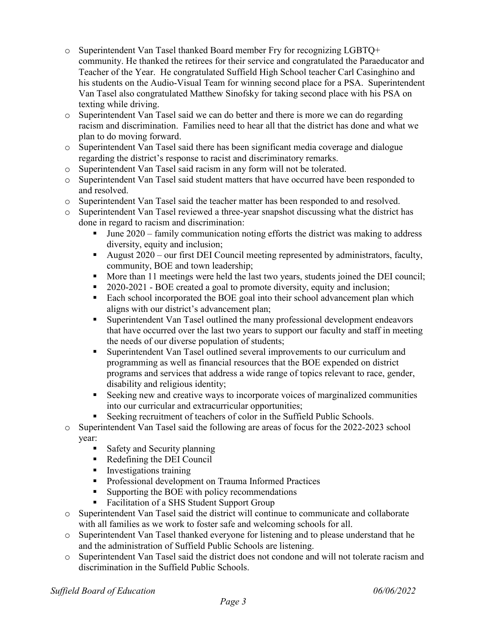- o Superintendent Van Tasel thanked Board member Fry for recognizing LGBTQ+ community. He thanked the retirees for their service and congratulated the Paraeducator and Teacher of the Year. He congratulated Suffield High School teacher Carl Casinghino and his students on the Audio-Visual Team for winning second place for a PSA. Superintendent Van Tasel also congratulated Matthew Sinofsky for taking second place with his PSA on texting while driving.
- o Superintendent Van Tasel said we can do better and there is more we can do regarding racism and discrimination. Families need to hear all that the district has done and what we plan to do moving forward.
- o Superintendent Van Tasel said there has been significant media coverage and dialogue regarding the district's response to racist and discriminatory remarks.
- Superintendent Van Tasel said racism in any form will not be tolerated.<br>○ Superintendent Van Tasel said student matters that have occurred have b
- Superintendent Van Tasel said student matters that have occurred have been responded to and resolved.
- o Superintendent Van Tasel said the teacher matter has been responded to and resolved.
- o Superintendent Van Tasel reviewed a three-year snapshot discussing what the district has done in regard to racism and discrimination:
	- $\blacksquare$  June 2020 family communication noting efforts the district was making to address diversity, equity and inclusion;
	- August  $2020$  our first DEI Council meeting represented by administrators, faculty, community, BOE and town leadership;
	- More than 11 meetings were held the last two years, students joined the DEI council;
	- 2020-2021 BOE created a goal to promote diversity, equity and inclusion;
	- Each school incorporated the BOE goal into their school advancement plan which aligns with our district's advancement plan;
	- Superintendent Van Tasel outlined the many professional development endeavors that have occurred over the last two years to support our faculty and staff in meeting the needs of our diverse population of students;
	- Superintendent Van Tasel outlined several improvements to our curriculum and programming as well as financial resources that the BOE expended on district programs and services that address a wide range of topics relevant to race, gender, disability and religious identity;
	- Seeking new and creative ways to incorporate voices of marginalized communities into our curricular and extracurricular opportunities;
	- Seeking recruitment of teachers of color in the Suffield Public Schools.
- o Superintendent Van Tasel said the following are areas of focus for the 2022-2023 school year:
	- Safety and Security planning
	- Redefining the DEI Council
	- **I** Investigations training
	- **Professional development on Trauma Informed Practices**
	- Supporting the BOE with policy recommendations
	- Facilitation of a SHS Student Support Group
- o Superintendent Van Tasel said the district will continue to communicate and collaborate with all families as we work to foster safe and welcoming schools for all.
- o Superintendent Van Tasel thanked everyone for listening and to please understand that he and the administration of Suffield Public Schools are listening.
- o Superintendent Van Tasel said the district does not condone and will not tolerate racism and discrimination in the Suffield Public Schools.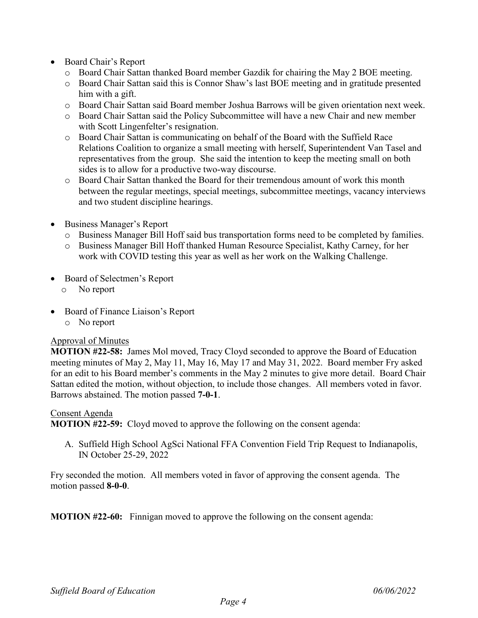- Board Chair's Report
	- o Board Chair Sattan thanked Board member Gazdik for chairing the May 2 BOE meeting.
	- o Board Chair Sattan said this is Connor Shaw's last BOE meeting and in gratitude presented him with a gift.
	- o Board Chair Sattan said Board member Joshua Barrows will be given orientation next week.
	- o Board Chair Sattan said the Policy Subcommittee will have a new Chair and new member with Scott Lingenfelter's resignation.
	- o Board Chair Sattan is communicating on behalf of the Board with the Suffield Race Relations Coalition to organize a small meeting with herself, Superintendent Van Tasel and representatives from the group. She said the intention to keep the meeting small on both sides is to allow for a productive two-way discourse.
	- o Board Chair Sattan thanked the Board for their tremendous amount of work this month between the regular meetings, special meetings, subcommittee meetings, vacancy interviews and two student discipline hearings.
- Business Manager's Report
	- o Business Manager Bill Hoff said bus transportation forms need to be completed by families.
	- o Business Manager Bill Hoff thanked Human Resource Specialist, Kathy Carney, for her work with COVID testing this year as well as her work on the Walking Challenge.
- Board of Selectmen's Report
	- o No report
- Board of Finance Liaison's Report
	- o No report

### Approval of Minutes

**MOTION #22-58:** James Mol moved, Tracy Cloyd seconded to approve the Board of Education meeting minutes of May 2, May 11, May 16, May 17 and May 31, 2022. Board member Fry asked for an edit to his Board member's comments in the May 2 minutes to give more detail. Board Chair Sattan edited the motion, without objection, to include those changes. All members voted in favor. Barrows abstained. The motion passed **7-0-1**.

### Consent Agenda

**MOTION #22-59:** Cloyd moved to approve the following on the consent agenda:

A. Suffield High School AgSci National FFA Convention Field Trip Request to Indianapolis, IN October 25-29, 2022

Fry seconded the motion. All members voted in favor of approving the consent agenda. The motion passed **8-0-0**.

**MOTION #22-60:** Finnigan moved to approve the following on the consent agenda: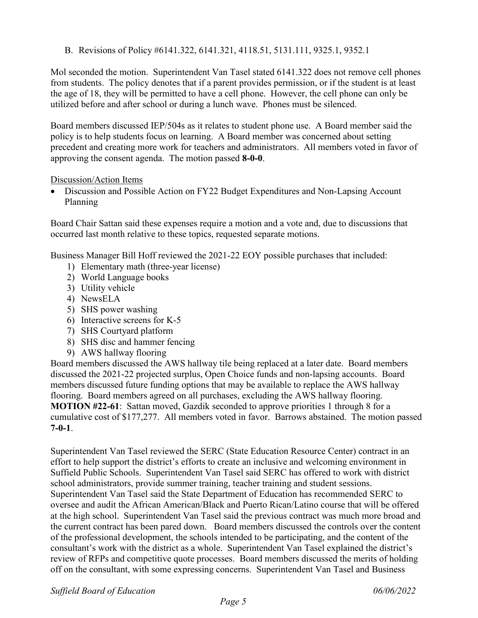B. Revisions of Policy #6141.322, 6141.321, 4118.51, 5131.111, 9325.1, 9352.1

Mol seconded the motion. Superintendent Van Tasel stated 6141.322 does not remove cell phones from students. The policy denotes that if a parent provides permission, or if the student is at least the age of 18, they will be permitted to have a cell phone. However, the cell phone can only be utilized before and after school or during a lunch wave. Phones must be silenced.

Board members discussed IEP/504s as it relates to student phone use. A Board member said the policy is to help students focus on learning. A Board member was concerned about setting precedent and creating more work for teachers and administrators. All members voted in favor of approving the consent agenda. The motion passed **8-0-0**.

### Discussion/Action Items

• Discussion and Possible Action on FY22 Budget Expenditures and Non-Lapsing Account Planning

Board Chair Sattan said these expenses require a motion and a vote and, due to discussions that occurred last month relative to these topics, requested separate motions.

Business Manager Bill Hoff reviewed the 2021-22 EOY possible purchases that included:

- 1) Elementary math (three-year license)
- 2) World Language books
- 3) Utility vehicle
- 4) NewsELA
- 5) SHS power washing
- 6) Interactive screens for K-5
- 7) SHS Courtyard platform
- 8) SHS disc and hammer fencing
- 9) AWS hallway flooring

Board members discussed the AWS hallway tile being replaced at a later date. Board members discussed the 2021-22 projected surplus, Open Choice funds and non-lapsing accounts. Board members discussed future funding options that may be available to replace the AWS hallway flooring. Board members agreed on all purchases, excluding the AWS hallway flooring. **MOTION #22-61**: Sattan moved, Gazdik seconded to approve priorities 1 through 8 for a cumulative cost of \$177,277. All members voted in favor. Barrows abstained. The motion passed **7-0-1**.

Superintendent Van Tasel reviewed the SERC (State Education Resource Center) contract in an effort to help support the district's efforts to create an inclusive and welcoming environment in Suffield Public Schools. Superintendent Van Tasel said SERC has offered to work with district school administrators, provide summer training, teacher training and student sessions. Superintendent Van Tasel said the State Department of Education has recommended SERC to oversee and audit the African American/Black and Puerto Rican/Latino course that will be offered at the high school. Superintendent Van Tasel said the previous contract was much more broad and the current contract has been pared down. Board members discussed the controls over the content of the professional development, the schools intended to be participating, and the content of the consultant's work with the district as a whole. Superintendent Van Tasel explained the district's review of RFPs and competitive quote processes. Board members discussed the merits of holding off on the consultant, with some expressing concerns. Superintendent Van Tasel and Business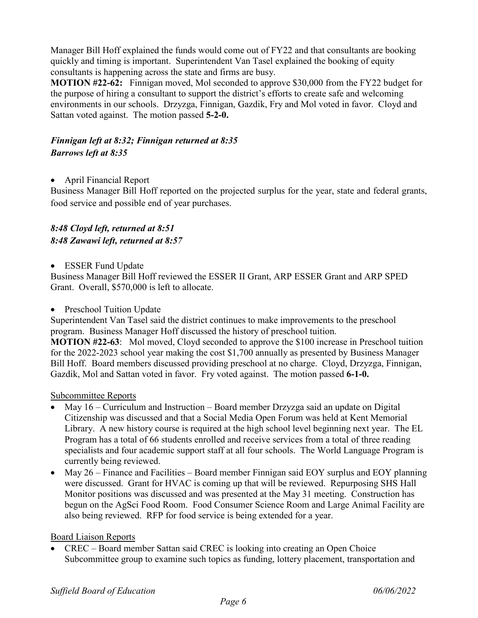Manager Bill Hoff explained the funds would come out of FY22 and that consultants are booking quickly and timing is important. Superintendent Van Tasel explained the booking of equity consultants is happening across the state and firms are busy.

**MOTION #22-62:** Finnigan moved, Mol seconded to approve \$30,000 from the FY22 budget for the purpose of hiring a consultant to support the district's efforts to create safe and welcoming environments in our schools. Drzyzga, Finnigan, Gazdik, Fry and Mol voted in favor. Cloyd and Sattan voted against. The motion passed **5-2-0.** 

# *Finnigan left at 8:32; Finnigan returned at 8:35 Barrows left at 8:35*

• April Financial Report

Business Manager Bill Hoff reported on the projected surplus for the year, state and federal grants, food service and possible end of year purchases.

# *8:48 Cloyd left, returned at 8:51 8:48 Zawawi left, returned at 8:57*

• ESSER Fund Update

Business Manager Bill Hoff reviewed the ESSER II Grant, ARP ESSER Grant and ARP SPED Grant. Overall, \$570,000 is left to allocate.

• Preschool Tuition Update

Superintendent Van Tasel said the district continues to make improvements to the preschool program. Business Manager Hoff discussed the history of preschool tuition.

**MOTION #22-63**: Mol moved, Cloyd seconded to approve the \$100 increase in Preschool tuition for the 2022-2023 school year making the cost \$1,700 annually as presented by Business Manager Bill Hoff. Board members discussed providing preschool at no charge. Cloyd, Drzyzga, Finnigan, Gazdik, Mol and Sattan voted in favor. Fry voted against. The motion passed **6-1-0.** 

### Subcommittee Reports

- May 16 Curriculum and Instruction Board member Drzyzga said an update on Digital Citizenship was discussed and that a Social Media Open Forum was held at Kent Memorial Library. A new history course is required at the high school level beginning next year. The EL Program has a total of 66 students enrolled and receive services from a total of three reading specialists and four academic support staff at all four schools. The World Language Program is currently being reviewed.
- May 26 Finance and Facilities Board member Finnigan said EOY surplus and EOY planning were discussed. Grant for HVAC is coming up that will be reviewed. Repurposing SHS Hall Monitor positions was discussed and was presented at the May 31 meeting. Construction has begun on the AgSci Food Room. Food Consumer Science Room and Large Animal Facility are also being reviewed. RFP for food service is being extended for a year.

### Board Liaison Reports

• CREC – Board member Sattan said CREC is looking into creating an Open Choice Subcommittee group to examine such topics as funding, lottery placement, transportation and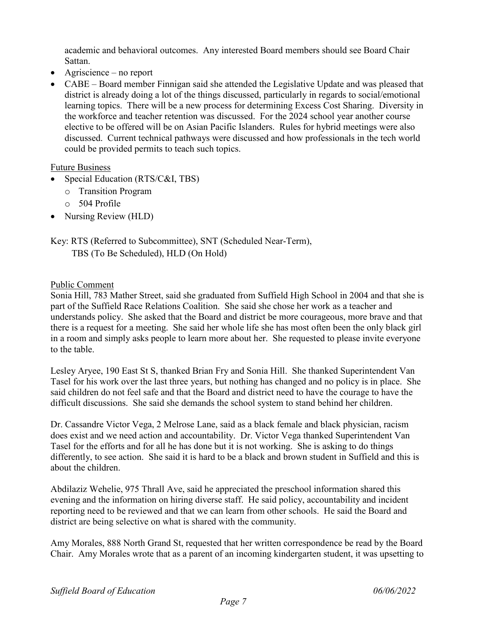academic and behavioral outcomes. Any interested Board members should see Board Chair Sattan.

- Agriscience no report
- CABE Board member Finnigan said she attended the Legislative Update and was pleased that district is already doing a lot of the things discussed, particularly in regards to social/emotional learning topics. There will be a new process for determining Excess Cost Sharing. Diversity in the workforce and teacher retention was discussed. For the 2024 school year another course elective to be offered will be on Asian Pacific Islanders. Rules for hybrid meetings were also discussed. Current technical pathways were discussed and how professionals in the tech world could be provided permits to teach such topics.

### Future Business

- Special Education (RTS/C&I, TBS)
	- o Transition Program
	- o 504 Profile
- Nursing Review (HLD)

# Key: RTS (Referred to Subcommittee), SNT (Scheduled Near-Term), TBS (To Be Scheduled), HLD (On Hold)

### Public Comment

Sonia Hill, 783 Mather Street, said she graduated from Suffield High School in 2004 and that she is part of the Suffield Race Relations Coalition. She said she chose her work as a teacher and understands policy. She asked that the Board and district be more courageous, more brave and that there is a request for a meeting. She said her whole life she has most often been the only black girl in a room and simply asks people to learn more about her. She requested to please invite everyone to the table.

Lesley Aryee, 190 East St S, thanked Brian Fry and Sonia Hill. She thanked Superintendent Van Tasel for his work over the last three years, but nothing has changed and no policy is in place. She said children do not feel safe and that the Board and district need to have the courage to have the difficult discussions. She said she demands the school system to stand behind her children.

Dr. Cassandre Victor Vega, 2 Melrose Lane, said as a black female and black physician, racism does exist and we need action and accountability. Dr. Victor Vega thanked Superintendent Van Tasel for the efforts and for all he has done but it is not working. She is asking to do things differently, to see action. She said it is hard to be a black and brown student in Suffield and this is about the children.

Abdilaziz Wehelie, 975 Thrall Ave, said he appreciated the preschool information shared this evening and the information on hiring diverse staff. He said policy, accountability and incident reporting need to be reviewed and that we can learn from other schools. He said the Board and district are being selective on what is shared with the community.

Amy Morales, 888 North Grand St, requested that her written correspondence be read by the Board Chair. Amy Morales wrote that as a parent of an incoming kindergarten student, it was upsetting to